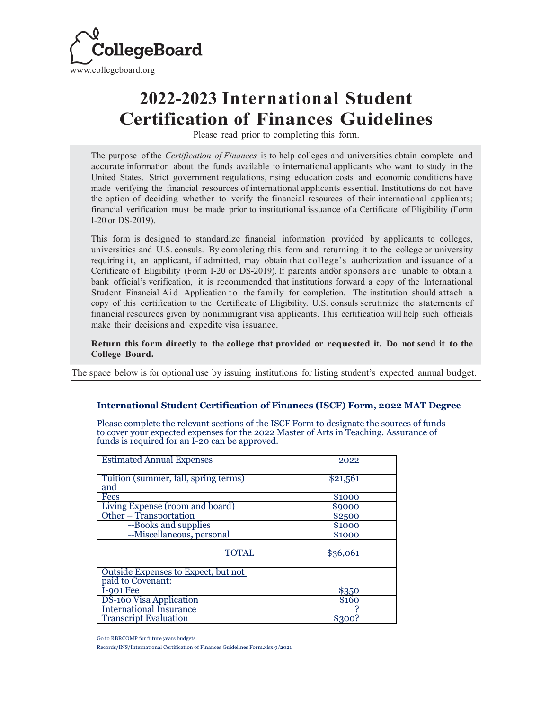

## **2022-2023 International Student Certification of Finances Guidelines**

Please read prior to completing this form.

The purpose of the *Certification of Finances* is to help colleges and universities obtain complete and accurate information about the funds available to international applicants who want to study in the United States. Strict government regulations, rising education costs and economic conditions have made verifying the financial resources of international applicants essential. Institutions do not have the option of deciding whether to verify the financial resources of their international applicants; financial verification must be made prior to institutional issuance of a Certificate of Eligibility (Form I-20 or DS-2019).

This form is designed to standardize financial information provided by applicants to colleges, universities and U.S. consuls. By completing this form and returning it to the college or university requiring it, an applicant, if admitted, may obtain that college's authorization and issuance of a Certificate of Eligibility (Form I-20 or DS-2019). If parents and/or sponsors are unable to obtain a bank official's verification, it is recommended that institutions forward a copy of the International Student Financial Aid Application to the family for completion. The institution should attach a copy of this certification to the Certificate of Eligibility. U.S. consuls scrutinize the statements of financial resources given by nonimmigrant visa applicants. This certification will help such officials make their decisions and expedite visa issuance.

**Return this form directly to the college that provided or requested it. Do not send it to the College Board.**

The space below is for optional use by issuing institutions for listing student's expected annual budget.

## **International Student Certification of Finances (ISCF) Form, 2022 MAT Degree**

Please complete the relevant sections of the ISCF Form to designate the sources of funds to cover your expected expenses for the 2022 Master of Arts in Teaching. Assurance of funds is required for an I-20 can be approved.

| <b>Estimated Annual Expenses</b>     | 2022     |
|--------------------------------------|----------|
|                                      |          |
| Tuition (summer, fall, spring terms) | \$21,561 |
| and                                  |          |
| <b>Fees</b>                          | \$1000   |
| Living Expense (room and board)      | \$9000   |
| Other - Transportation               | \$2500   |
| --Books and supplies                 | \$1000   |
| --Miscellaneous, personal            | \$1000   |
|                                      |          |
| <b>TOTAL</b>                         | \$36,061 |
|                                      |          |
| Outside Expenses to Expect, but not  |          |
| paid to Covenant:                    |          |
| I-901 Fee                            | \$350    |
| DS-160 Visa Application              | \$160    |
| <b>International Insurance</b>       |          |
| <b>Transcript Evaluation</b>         | \$300?   |

Go to RBRCOMP for future years budgets.

Records/INS/International Certification of Finances Guidelines Form.xlsx 9/2021